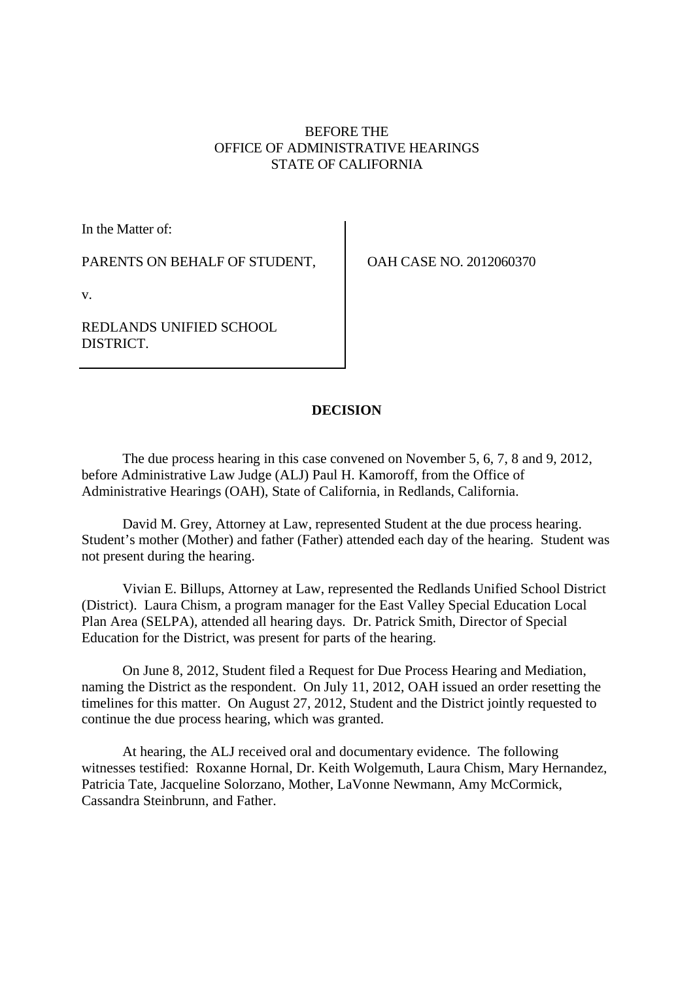# BEFORE THE OFFICE OF ADMINISTRATIVE HEARINGS STATE OF CALIFORNIA

In the Matter of:

PARENTS ON BEHALF OF STUDENT,

OAH CASE NO. 2012060370

v.

REDLANDS UNIFIED SCHOOL DISTRICT.

# **DECISION**

The due process hearing in this case convened on November 5, 6, 7, 8 and 9, 2012, before Administrative Law Judge (ALJ) Paul H. Kamoroff, from the Office of Administrative Hearings (OAH), State of California, in Redlands, California.

David M. Grey, Attorney at Law, represented Student at the due process hearing. Student's mother (Mother) and father (Father) attended each day of the hearing. Student was not present during the hearing.

Vivian E. Billups, Attorney at Law, represented the Redlands Unified School District (District). Laura Chism, a program manager for the East Valley Special Education Local Plan Area (SELPA), attended all hearing days. Dr. Patrick Smith, Director of Special Education for the District, was present for parts of the hearing.

On June 8, 2012, Student filed a Request for Due Process Hearing and Mediation, naming the District as the respondent. On July 11, 2012, OAH issued an order resetting the timelines for this matter. On August 27, 2012, Student and the District jointly requested to continue the due process hearing, which was granted.

At hearing, the ALJ received oral and documentary evidence. The following witnesses testified: Roxanne Hornal, Dr. Keith Wolgemuth, Laura Chism, Mary Hernandez, Patricia Tate, Jacqueline Solorzano, Mother, LaVonne Newmann, Amy McCormick, Cassandra Steinbrunn, and Father.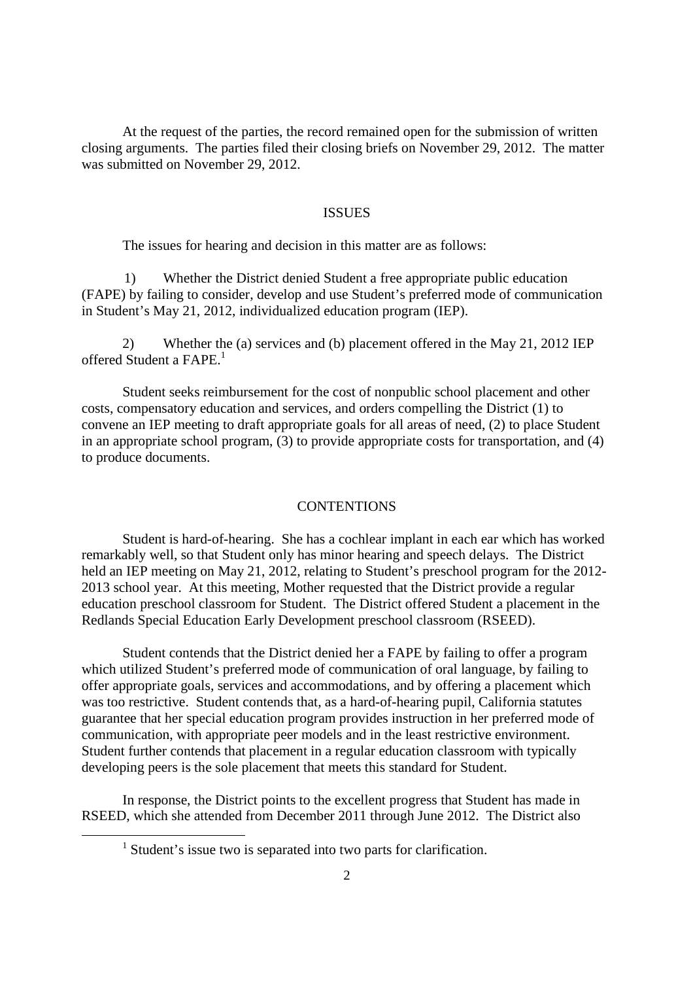At the request of the parties, the record remained open for the submission of written closing arguments. The parties filed their closing briefs on November 29, 2012. The matter was submitted on November 29, 2012.

### ISSUES

The issues for hearing and decision in this matter are as follows:

1) Whether the District denied Student a free appropriate public education (FAPE) by failing to consider, develop and use Student's preferred mode of communication in Student's May 21, 2012, individualized education program (IEP).

2) Whether the (a) services and (b) placement offered in the May 21, 2012 IEP offered Student a FAPE.<sup>1</sup>

Student seeks reimbursement for the cost of nonpublic school placement and other costs, compensatory education and services, and orders compelling the District (1) to convene an IEP meeting to draft appropriate goals for all areas of need, (2) to place Student in an appropriate school program, (3) to provide appropriate costs for transportation, and (4) to produce documents.

#### CONTENTIONS

Student is hard-of-hearing. She has a cochlear implant in each ear which has worked remarkably well, so that Student only has minor hearing and speech delays. The District held an IEP meeting on May 21, 2012, relating to Student's preschool program for the 2012- 2013 school year. At this meeting, Mother requested that the District provide a regular education preschool classroom for Student. The District offered Student a placement in the Redlands Special Education Early Development preschool classroom (RSEED).

Student contends that the District denied her a FAPE by failing to offer a program which utilized Student's preferred mode of communication of oral language, by failing to offer appropriate goals, services and accommodations, and by offering a placement which was too restrictive. Student contends that, as a hard-of-hearing pupil, California statutes guarantee that her special education program provides instruction in her preferred mode of communication, with appropriate peer models and in the least restrictive environment. Student further contends that placement in a regular education classroom with typically developing peers is the sole placement that meets this standard for Student.

In response, the District points to the excellent progress that Student has made in RSEED, which she attended from December 2011 through June 2012. The District also

<sup>&</sup>lt;sup>1</sup> Student's issue two is separated into two parts for clarification.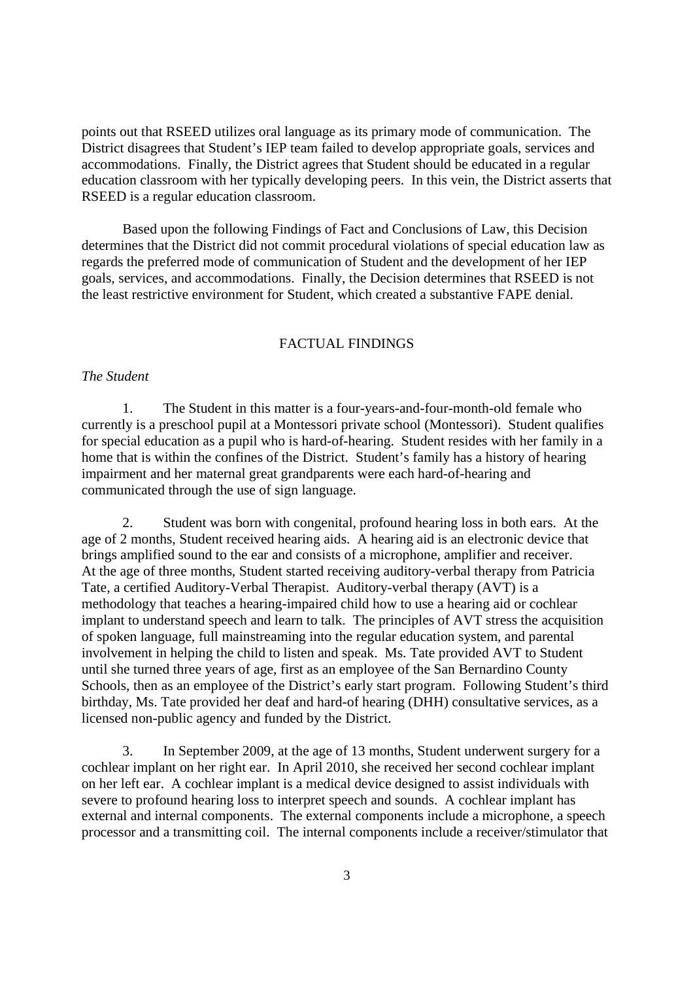points out that RSEED utilizes oral language as its primary mode of communication. The District disagrees that Student's IEP team failed to develop appropriate goals, services and accommodations. Finally, the District agrees that Student should be educated in a regular education classroom with her typically developing peers. In this vein, the District asserts that RSEED is a regular education classroom.

Based upon the following Findings of Fact and Conclusions of Law, this Decision determines that the District did not commit procedural violations of special education law as regards the preferred mode of communication of Student and the development of her IEP goals, services, and accommodations. Finally, the Decision determines that RSEED is not the least restrictive environment for Student, which created a substantive FAPE denial.

#### FACTUAL FINDINGS

## *The Student*

1. The Student in this matter is a four-years-and-four-month-old female who currently is a preschool pupil at a Montessori private school (Montessori). Student qualifies for special education as a pupil who is hard-of-hearing. Student resides with her family in a home that is within the confines of the District. Student's family has a history of hearing impairment and her maternal great grandparents were each hard-of-hearing and communicated through the use of sign language.

2. Student was born with congenital, profound hearing loss in both ears. At the age of 2 months, Student received hearing aids. A hearing aid is an electronic device that brings amplified sound to the ear and consists of a microphone, amplifier and receiver. At the age of three months, Student started receiving auditory-verbal therapy from Patricia Tate, a certified Auditory-Verbal Therapist. Auditory-verbal therapy (AVT) is a methodology that teaches a hearing-impaired child how to use a hearing aid or cochlear implant to understand speech and learn to talk. The principles of AVT stress the acquisition of spoken language, full mainstreaming into the regular education system, and parental involvement in helping the child to listen and speak. Ms. Tate provided AVT to Student until she turned three years of age, first as an employee of the San Bernardino County Schools, then as an employee of the District's early start program. Following Student's third birthday, Ms. Tate provided her deaf and hard-of hearing (DHH) consultative services, as a licensed non-public agency and funded by the District.

3. In September 2009, at the age of 13 months, Student underwent surgery for a cochlear implant on her right ear. In April 2010, she received her second cochlear implant on her left ear. A cochlear implant is a medical device designed to assist individuals with severe to profound hearing loss to interpret speech and sounds. A cochlear implant has external and internal components. The external components include a microphone, a speech processor and a transmitting coil. The internal components include a receiver/stimulator that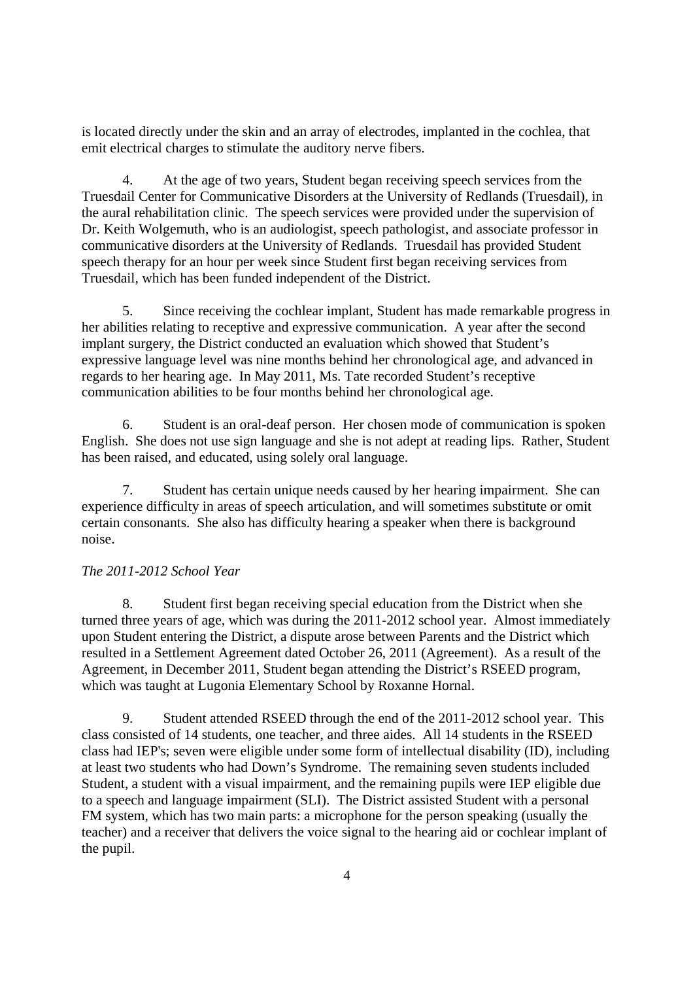is located directly under the skin and an array of electrodes, implanted in the cochlea, that emit electrical charges to stimulate the auditory nerve fibers.

4. At the age of two years, Student began receiving speech services from the Truesdail Center for Communicative Disorders at the University of Redlands (Truesdail), in the aural rehabilitation clinic. The speech services were provided under the supervision of Dr. Keith Wolgemuth, who is an audiologist, speech pathologist, and associate professor in communicative disorders at the University of Redlands. Truesdail has provided Student speech therapy for an hour per week since Student first began receiving services from Truesdail, which has been funded independent of the District.

5. Since receiving the cochlear implant, Student has made remarkable progress in her abilities relating to receptive and expressive communication. A year after the second implant surgery, the District conducted an evaluation which showed that Student's expressive language level was nine months behind her chronological age, and advanced in regards to her hearing age. In May 2011, Ms. Tate recorded Student's receptive communication abilities to be four months behind her chronological age.

6. Student is an oral-deaf person. Her chosen mode of communication is spoken English. She does not use sign language and she is not adept at reading lips. Rather, Student has been raised, and educated, using solely oral language.

7. Student has certain unique needs caused by her hearing impairment. She can experience difficulty in areas of speech articulation, and will sometimes substitute or omit certain consonants. She also has difficulty hearing a speaker when there is background noise.

# *The 2011-2012 School Year*

8. Student first began receiving special education from the District when she turned three years of age, which was during the 2011-2012 school year. Almost immediately upon Student entering the District, a dispute arose between Parents and the District which resulted in a Settlement Agreement dated October 26, 2011 (Agreement). As a result of the Agreement, in December 2011, Student began attending the District's RSEED program, which was taught at Lugonia Elementary School by Roxanne Hornal.

9. Student attended RSEED through the end of the 2011-2012 school year. This class consisted of 14 students, one teacher, and three aides. All 14 students in the RSEED class had IEP's; seven were eligible under some form of intellectual disability (ID), including at least two students who had Down's Syndrome. The remaining seven students included Student, a student with a visual impairment, and the remaining pupils were IEP eligible due to a speech and language impairment (SLI). The District assisted Student with a personal FM system, which has two main parts: a microphone for the person speaking (usually the teacher) and a receiver that delivers the voice signal to the hearing aid or cochlear implant of the pupil.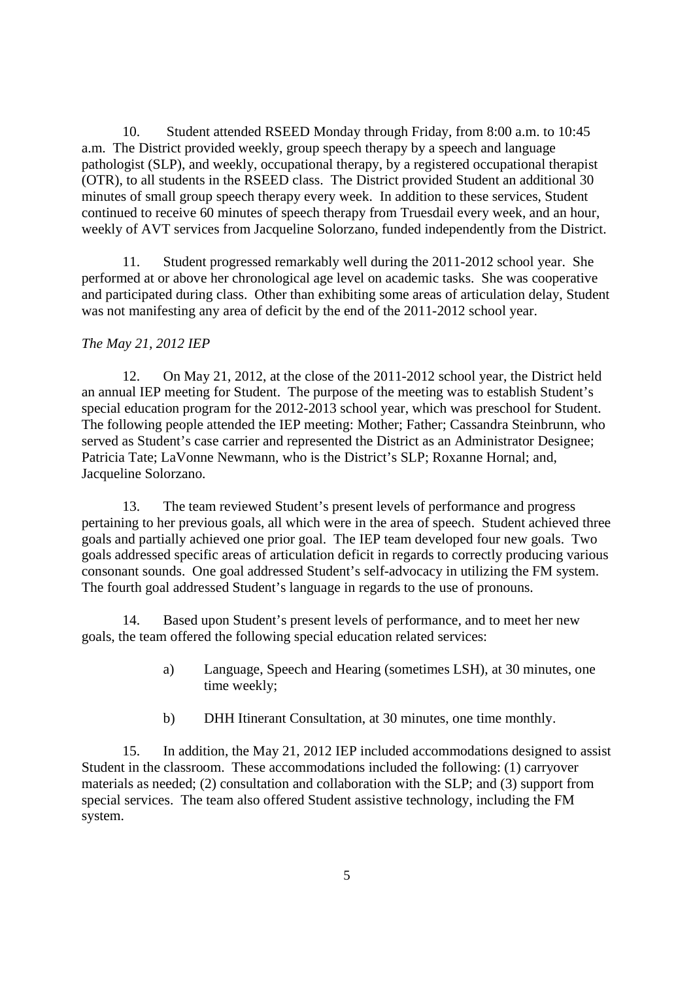10. Student attended RSEED Monday through Friday, from 8:00 a.m. to 10:45 a.m. The District provided weekly, group speech therapy by a speech and language pathologist (SLP), and weekly, occupational therapy, by a registered occupational therapist (OTR), to all students in the RSEED class. The District provided Student an additional 30 minutes of small group speech therapy every week. In addition to these services, Student continued to receive 60 minutes of speech therapy from Truesdail every week, and an hour, weekly of AVT services from Jacqueline Solorzano, funded independently from the District.

11. Student progressed remarkably well during the 2011-2012 school year. She performed at or above her chronological age level on academic tasks. She was cooperative and participated during class. Other than exhibiting some areas of articulation delay, Student was not manifesting any area of deficit by the end of the 2011-2012 school year.

## *The May 21, 2012 IEP*

12. On May 21, 2012, at the close of the 2011-2012 school year, the District held an annual IEP meeting for Student. The purpose of the meeting was to establish Student's special education program for the 2012-2013 school year, which was preschool for Student. The following people attended the IEP meeting: Mother; Father; Cassandra Steinbrunn, who served as Student's case carrier and represented the District as an Administrator Designee; Patricia Tate; LaVonne Newmann, who is the District's SLP; Roxanne Hornal; and, Jacqueline Solorzano.

13. The team reviewed Student's present levels of performance and progress pertaining to her previous goals, all which were in the area of speech. Student achieved three goals and partially achieved one prior goal. The IEP team developed four new goals. Two goals addressed specific areas of articulation deficit in regards to correctly producing various consonant sounds. One goal addressed Student's self-advocacy in utilizing the FM system. The fourth goal addressed Student's language in regards to the use of pronouns.

14. Based upon Student's present levels of performance, and to meet her new goals, the team offered the following special education related services:

- a) Language, Speech and Hearing (sometimes LSH), at 30 minutes, one time weekly;
- b) DHH Itinerant Consultation, at 30 minutes, one time monthly.

15. In addition, the May 21, 2012 IEP included accommodations designed to assist Student in the classroom. These accommodations included the following: (1) carryover materials as needed; (2) consultation and collaboration with the SLP; and (3) support from special services. The team also offered Student assistive technology, including the FM system.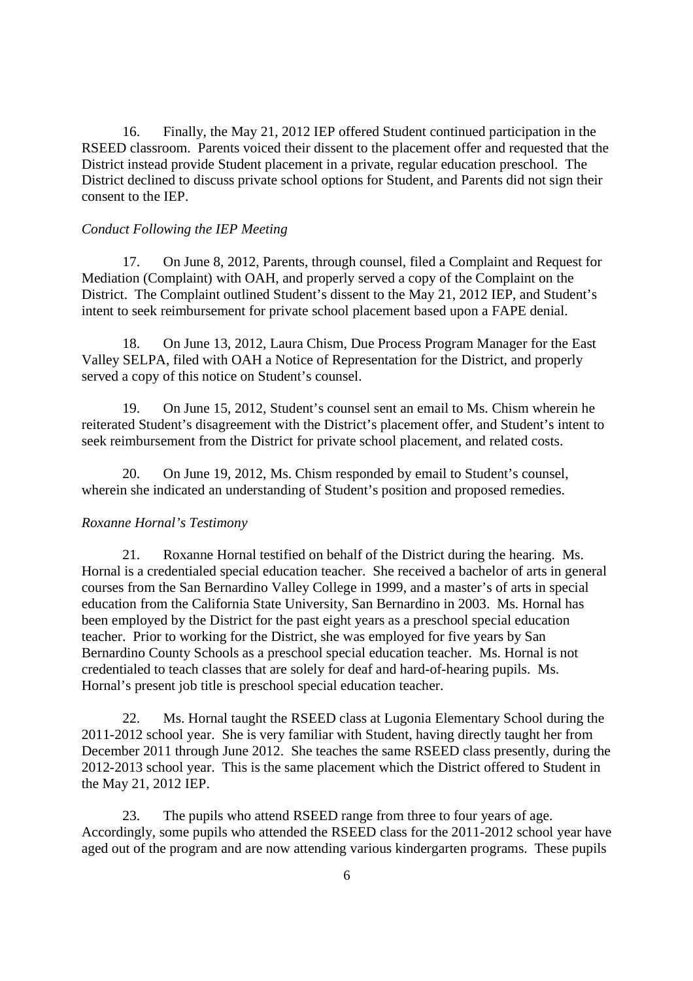16. Finally, the May 21, 2012 IEP offered Student continued participation in the RSEED classroom. Parents voiced their dissent to the placement offer and requested that the District instead provide Student placement in a private, regular education preschool. The District declined to discuss private school options for Student, and Parents did not sign their consent to the IEP.

### *Conduct Following the IEP Meeting*

17. On June 8, 2012, Parents, through counsel, filed a Complaint and Request for Mediation (Complaint) with OAH, and properly served a copy of the Complaint on the District. The Complaint outlined Student's dissent to the May 21, 2012 IEP, and Student's intent to seek reimbursement for private school placement based upon a FAPE denial.

18. On June 13, 2012, Laura Chism, Due Process Program Manager for the East Valley SELPA, filed with OAH a Notice of Representation for the District, and properly served a copy of this notice on Student's counsel.

19. On June 15, 2012, Student's counsel sent an email to Ms. Chism wherein he reiterated Student's disagreement with the District's placement offer, and Student's intent to seek reimbursement from the District for private school placement, and related costs.

20. On June 19, 2012, Ms. Chism responded by email to Student's counsel, wherein she indicated an understanding of Student's position and proposed remedies.

## *Roxanne Hornal's Testimony*

21. Roxanne Hornal testified on behalf of the District during the hearing. Ms. Hornal is a credentialed special education teacher. She received a bachelor of arts in general courses from the San Bernardino Valley College in 1999, and a master's of arts in special education from the California State University, San Bernardino in 2003. Ms. Hornal has been employed by the District for the past eight years as a preschool special education teacher. Prior to working for the District, she was employed for five years by San Bernardino County Schools as a preschool special education teacher. Ms. Hornal is not credentialed to teach classes that are solely for deaf and hard-of-hearing pupils. Ms. Hornal's present job title is preschool special education teacher.

22. Ms. Hornal taught the RSEED class at Lugonia Elementary School during the 2011-2012 school year. She is very familiar with Student, having directly taught her from December 2011 through June 2012. She teaches the same RSEED class presently, during the 2012-2013 school year. This is the same placement which the District offered to Student in the May 21, 2012 IEP.

23. The pupils who attend RSEED range from three to four years of age. Accordingly, some pupils who attended the RSEED class for the 2011-2012 school year have aged out of the program and are now attending various kindergarten programs. These pupils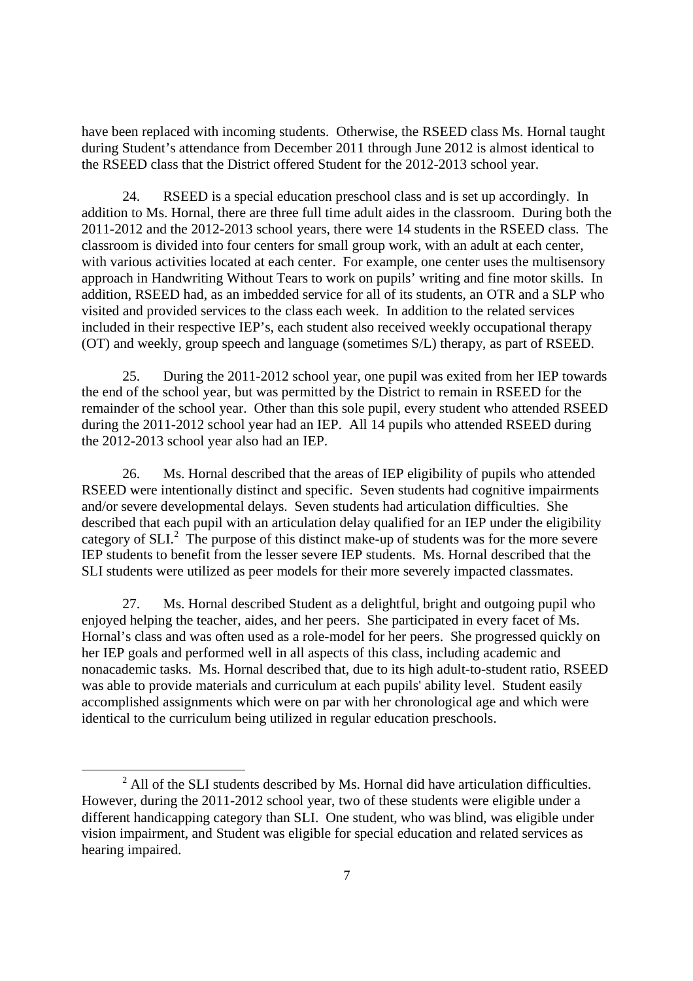have been replaced with incoming students. Otherwise, the RSEED class Ms. Hornal taught during Student's attendance from December 2011 through June 2012 is almost identical to the RSEED class that the District offered Student for the 2012-2013 school year.

24. RSEED is a special education preschool class and is set up accordingly. In addition to Ms. Hornal, there are three full time adult aides in the classroom. During both the 2011-2012 and the 2012-2013 school years, there were 14 students in the RSEED class. The classroom is divided into four centers for small group work, with an adult at each center, with various activities located at each center. For example, one center uses the multisensory approach in Handwriting Without Tears to work on pupils' writing and fine motor skills. In addition, RSEED had, as an imbedded service for all of its students, an OTR and a SLP who visited and provided services to the class each week. In addition to the related services included in their respective IEP's, each student also received weekly occupational therapy (OT) and weekly, group speech and language (sometimes S/L) therapy, as part of RSEED.

25. During the 2011-2012 school year, one pupil was exited from her IEP towards the end of the school year, but was permitted by the District to remain in RSEED for the remainder of the school year. Other than this sole pupil, every student who attended RSEED during the 2011-2012 school year had an IEP. All 14 pupils who attended RSEED during the 2012-2013 school year also had an IEP.

26. Ms. Hornal described that the areas of IEP eligibility of pupils who attended RSEED were intentionally distinct and specific. Seven students had cognitive impairments and/or severe developmental delays. Seven students had articulation difficulties. She described that each pupil with an articulation delay qualified for an IEP under the eligibility category of  $SLI<sup>2</sup>$ . The purpose of this distinct make-up of students was for the more severe IEP students to benefit from the lesser severe IEP students. Ms. Hornal described that the SLI students were utilized as peer models for their more severely impacted classmates.

27. Ms. Hornal described Student as a delightful, bright and outgoing pupil who enjoyed helping the teacher, aides, and her peers. She participated in every facet of Ms. Hornal's class and was often used as a role-model for her peers. She progressed quickly on her IEP goals and performed well in all aspects of this class, including academic and nonacademic tasks. Ms. Hornal described that, due to its high adult-to-student ratio, RSEED was able to provide materials and curriculum at each pupils' ability level. Student easily accomplished assignments which were on par with her chronological age and which were identical to the curriculum being utilized in regular education preschools.

 $2$  All of the SLI students described by Ms. Hornal did have articulation difficulties. However, during the 2011-2012 school year, two of these students were eligible under a different handicapping category than SLI. One student, who was blind, was eligible under vision impairment, and Student was eligible for special education and related services as hearing impaired.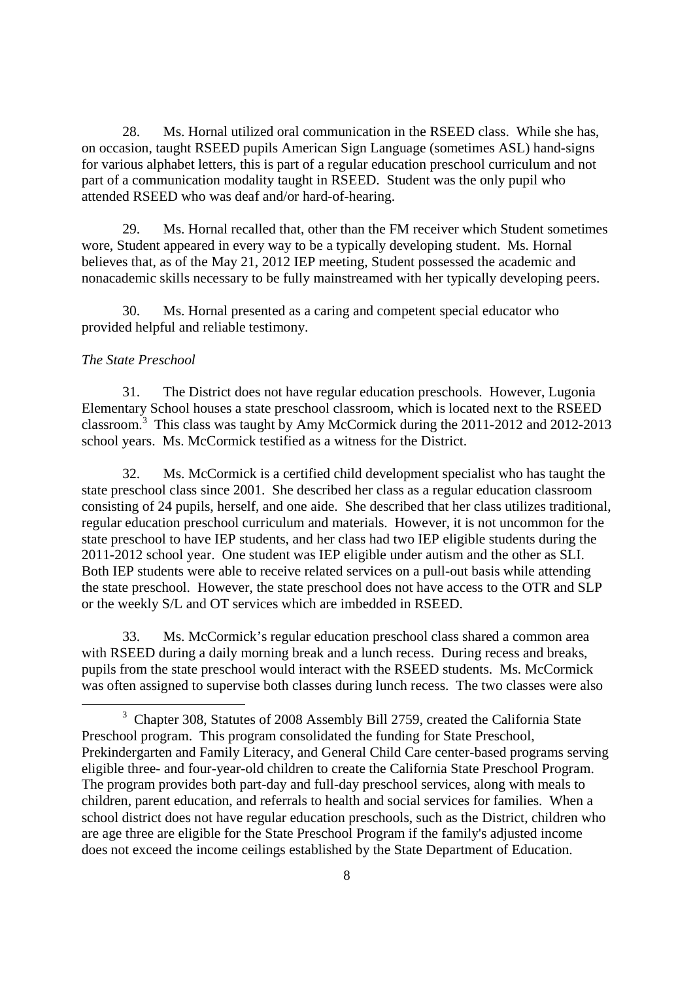28. Ms. Hornal utilized oral communication in the RSEED class. While she has, on occasion, taught RSEED pupils American Sign Language (sometimes ASL) hand-signs for various alphabet letters, this is part of a regular education preschool curriculum and not part of a communication modality taught in RSEED. Student was the only pupil who attended RSEED who was deaf and/or hard-of-hearing.

29. Ms. Hornal recalled that, other than the FM receiver which Student sometimes wore, Student appeared in every way to be a typically developing student. Ms. Hornal believes that, as of the May 21, 2012 IEP meeting, Student possessed the academic and nonacademic skills necessary to be fully mainstreamed with her typically developing peers.

Ms. Hornal presented as a caring and competent special educator who provided helpful and reliable testimony.

### *The State Preschool*

31. The District does not have regular education preschools. However, Lugonia Elementary School houses a state preschool classroom, which is located next to the RSEED classroom.<sup>3</sup> This class was taught by Amy McCormick during the 2011-2012 and 2012-2013 school years. Ms. McCormick testified as a witness for the District.

32. Ms. McCormick is a certified child development specialist who has taught the state preschool class since 2001. She described her class as a regular education classroom consisting of 24 pupils, herself, and one aide. She described that her class utilizes traditional, regular education preschool curriculum and materials. However, it is not uncommon for the state preschool to have IEP students, and her class had two IEP eligible students during the 2011-2012 school year. One student was IEP eligible under autism and the other as SLI. Both IEP students were able to receive related services on a pull-out basis while attending the state preschool. However, the state preschool does not have access to the OTR and SLP or the weekly S/L and OT services which are imbedded in RSEED.

33. Ms. McCormick's regular education preschool class shared a common area with RSEED during a daily morning break and a lunch recess. During recess and breaks, pupils from the state preschool would interact with the RSEED students. Ms. McCormick was often assigned to supervise both classes during lunch recess. The two classes were also

<sup>&</sup>lt;sup>3</sup> Chapter 308, Statutes of 2008 Assembly Bill 2759, created the California State Preschool program. This program consolidated the funding for State Preschool, Prekindergarten and Family Literacy, and General Child Care center-based programs serving eligible three- and four-year-old children to create the California State Preschool Program. The program provides both part-day and full-day preschool services, along with meals to children, parent education, and referrals to health and social services for families. When a school district does not have regular education preschools, such as the District, children who are age three are eligible for the State Preschool Program if the family's adjusted income does not exceed the income ceilings established by the State Department of Education.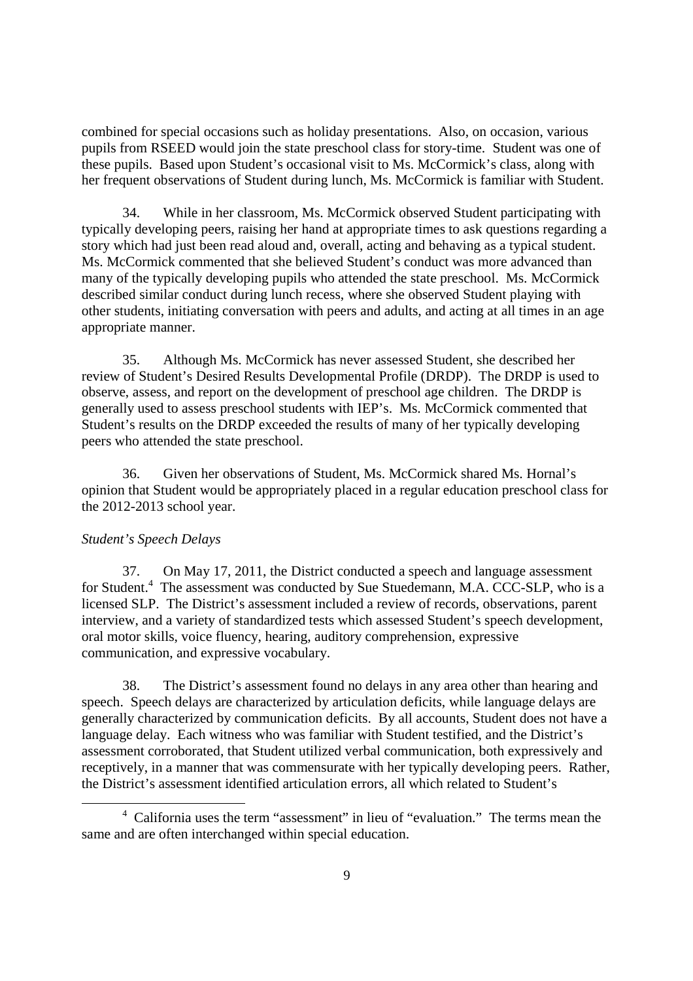combined for special occasions such as holiday presentations. Also, on occasion, various pupils from RSEED would join the state preschool class for story-time. Student was one of these pupils. Based upon Student's occasional visit to Ms. McCormick's class, along with her frequent observations of Student during lunch, Ms. McCormick is familiar with Student.

34. While in her classroom, Ms. McCormick observed Student participating with typically developing peers, raising her hand at appropriate times to ask questions regarding a story which had just been read aloud and, overall, acting and behaving as a typical student. Ms. McCormick commented that she believed Student's conduct was more advanced than many of the typically developing pupils who attended the state preschool. Ms. McCormick described similar conduct during lunch recess, where she observed Student playing with other students, initiating conversation with peers and adults, and acting at all times in an age appropriate manner.

35. Although Ms. McCormick has never assessed Student, she described her review of Student's Desired Results Developmental Profile (DRDP). The DRDP is used to observe, assess, and report on the development of preschool age children. The DRDP is generally used to assess preschool students with IEP's. Ms. McCormick commented that Student's results on the DRDP exceeded the results of many of her typically developing peers who attended the state preschool.

36. Given her observations of Student, Ms. McCormick shared Ms. Hornal's opinion that Student would be appropriately placed in a regular education preschool class for the 2012-2013 school year.

### *Student's Speech Delays*

37. On May 17, 2011, the District conducted a speech and language assessment for Student.<sup>4</sup> The assessment was conducted by Sue Stuedemann, M.A. CCC-SLP, who is a licensed SLP. The District's assessment included a review of records, observations, parent interview, and a variety of standardized tests which assessed Student's speech development, oral motor skills, voice fluency, hearing, auditory comprehension, expressive communication, and expressive vocabulary.

38. The District's assessment found no delays in any area other than hearing and speech. Speech delays are characterized by articulation deficits, while language delays are generally characterized by communication deficits. By all accounts, Student does not have a language delay. Each witness who was familiar with Student testified, and the District's assessment corroborated, that Student utilized verbal communication, both expressively and receptively, in a manner that was commensurate with her typically developing peers. Rather, the District's assessment identified articulation errors, all which related to Student's

<sup>&</sup>lt;sup>4</sup> California uses the term "assessment" in lieu of "evaluation." The terms mean the same and are often interchanged within special education.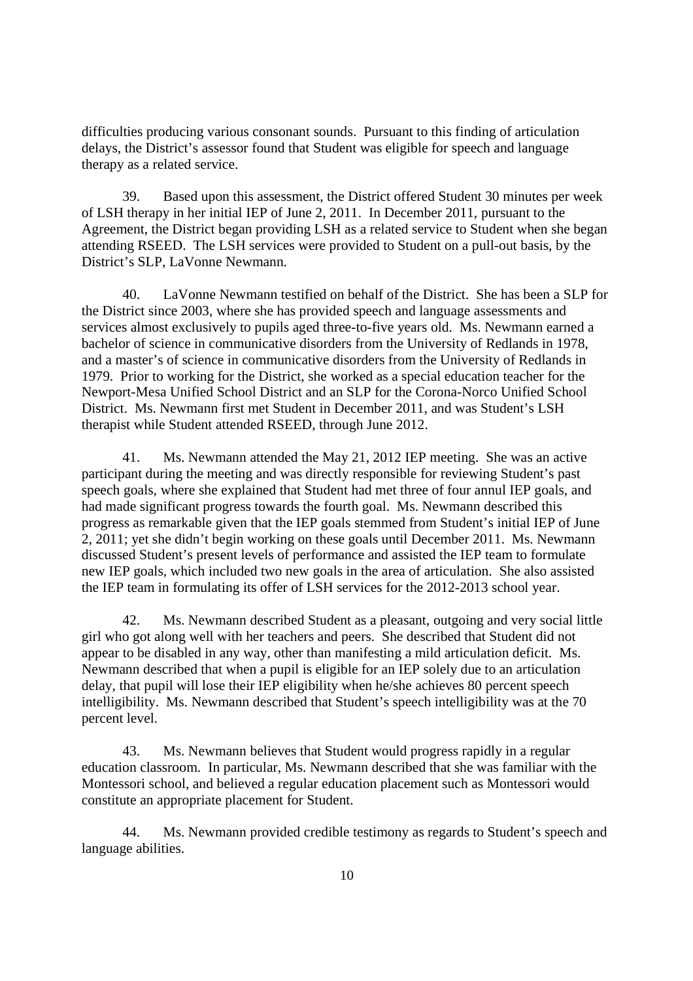difficulties producing various consonant sounds. Pursuant to this finding of articulation delays, the District's assessor found that Student was eligible for speech and language therapy as a related service.

39. Based upon this assessment, the District offered Student 30 minutes per week of LSH therapy in her initial IEP of June 2, 2011. In December 2011, pursuant to the Agreement, the District began providing LSH as a related service to Student when she began attending RSEED. The LSH services were provided to Student on a pull-out basis, by the District's SLP, LaVonne Newmann.

40. LaVonne Newmann testified on behalf of the District. She has been a SLP for the District since 2003, where she has provided speech and language assessments and services almost exclusively to pupils aged three-to-five years old. Ms. Newmann earned a bachelor of science in communicative disorders from the University of Redlands in 1978, and a master's of science in communicative disorders from the University of Redlands in 1979. Prior to working for the District, she worked as a special education teacher for the Newport-Mesa Unified School District and an SLP for the Corona-Norco Unified School District. Ms. Newmann first met Student in December 2011, and was Student's LSH therapist while Student attended RSEED, through June 2012.

41. Ms. Newmann attended the May 21, 2012 IEP meeting. She was an active participant during the meeting and was directly responsible for reviewing Student's past speech goals, where she explained that Student had met three of four annul IEP goals, and had made significant progress towards the fourth goal. Ms. Newmann described this progress as remarkable given that the IEP goals stemmed from Student's initial IEP of June 2, 2011; yet she didn't begin working on these goals until December 2011. Ms. Newmann discussed Student's present levels of performance and assisted the IEP team to formulate new IEP goals, which included two new goals in the area of articulation. She also assisted the IEP team in formulating its offer of LSH services for the 2012-2013 school year.

42. Ms. Newmann described Student as a pleasant, outgoing and very social little girl who got along well with her teachers and peers. She described that Student did not appear to be disabled in any way, other than manifesting a mild articulation deficit. Ms. Newmann described that when a pupil is eligible for an IEP solely due to an articulation delay, that pupil will lose their IEP eligibility when he/she achieves 80 percent speech intelligibility. Ms. Newmann described that Student's speech intelligibility was at the 70 percent level.

43. Ms. Newmann believes that Student would progress rapidly in a regular education classroom. In particular, Ms. Newmann described that she was familiar with the Montessori school, and believed a regular education placement such as Montessori would constitute an appropriate placement for Student.

44. Ms. Newmann provided credible testimony as regards to Student's speech and language abilities.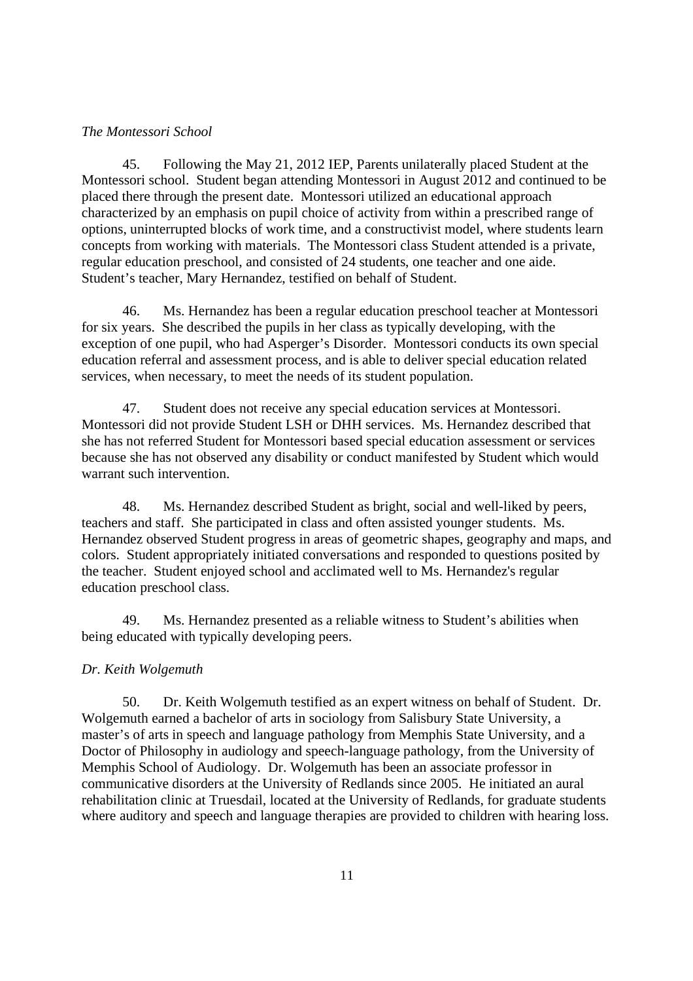### *The Montessori School*

45. Following the May 21, 2012 IEP, Parents unilaterally placed Student at the Montessori school. Student began attending Montessori in August 2012 and continued to be placed there through the present date. Montessori utilized an educational approach characterized by an emphasis on pupil choice of activity from within a prescribed range of options, uninterrupted blocks of work time, and a constructivist model, where students learn concepts from working with materials. The Montessori class Student attended is a private, regular education preschool, and consisted of 24 students, one teacher and one aide. Student's teacher, Mary Hernandez, testified on behalf of Student.

46. Ms. Hernandez has been a regular education preschool teacher at Montessori for six years. She described the pupils in her class as typically developing, with the exception of one pupil, who had Asperger's Disorder. Montessori conducts its own special education referral and assessment process, and is able to deliver special education related services, when necessary, to meet the needs of its student population.

47. Student does not receive any special education services at Montessori. Montessori did not provide Student LSH or DHH services. Ms. Hernandez described that she has not referred Student for Montessori based special education assessment or services because she has not observed any disability or conduct manifested by Student which would warrant such intervention.

48. Ms. Hernandez described Student as bright, social and well-liked by peers, teachers and staff. She participated in class and often assisted younger students. Ms. Hernandez observed Student progress in areas of geometric shapes, geography and maps, and colors. Student appropriately initiated conversations and responded to questions posited by the teacher. Student enjoyed school and acclimated well to Ms. Hernandez's regular education preschool class.

49. Ms. Hernandez presented as a reliable witness to Student's abilities when being educated with typically developing peers.

### *Dr. Keith Wolgemuth*

50. Dr. Keith Wolgemuth testified as an expert witness on behalf of Student. Dr. Wolgemuth earned a bachelor of arts in sociology from Salisbury State University, a master's of arts in speech and language pathology from Memphis State University, and a Doctor of Philosophy in audiology and speech-language pathology, from the University of Memphis School of Audiology. Dr. Wolgemuth has been an associate professor in communicative disorders at the University of Redlands since 2005. He initiated an aural rehabilitation clinic at Truesdail, located at the University of Redlands, for graduate students where auditory and speech and language therapies are provided to children with hearing loss.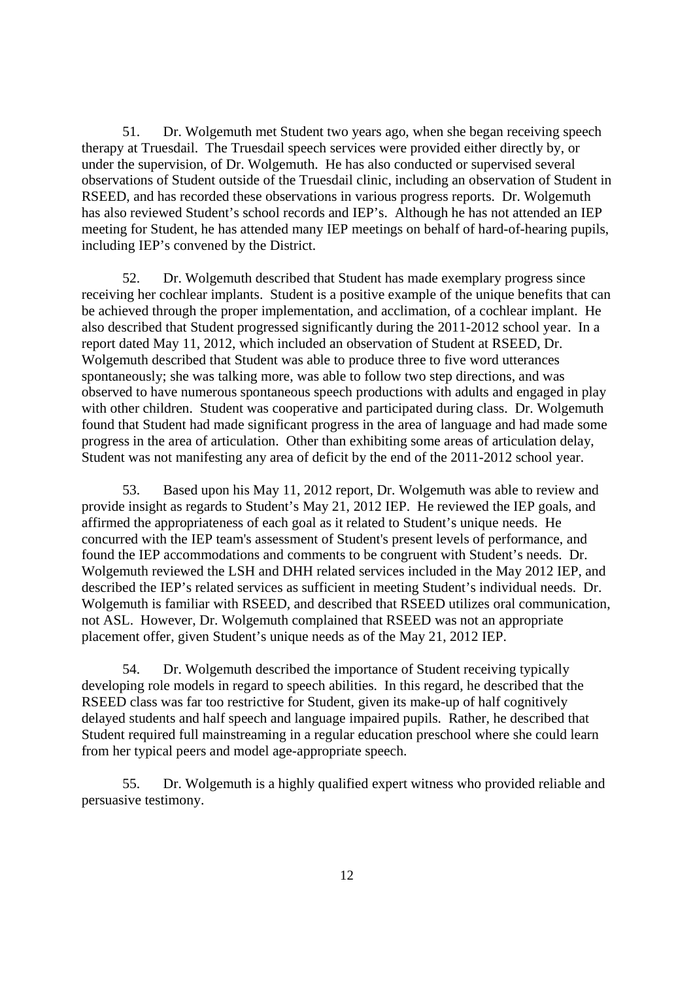51. Dr. Wolgemuth met Student two years ago, when she began receiving speech therapy at Truesdail. The Truesdail speech services were provided either directly by, or under the supervision, of Dr. Wolgemuth. He has also conducted or supervised several observations of Student outside of the Truesdail clinic, including an observation of Student in RSEED, and has recorded these observations in various progress reports. Dr. Wolgemuth has also reviewed Student's school records and IEP's. Although he has not attended an IEP meeting for Student, he has attended many IEP meetings on behalf of hard-of-hearing pupils, including IEP's convened by the District.

52. Dr. Wolgemuth described that Student has made exemplary progress since receiving her cochlear implants. Student is a positive example of the unique benefits that can be achieved through the proper implementation, and acclimation, of a cochlear implant. He also described that Student progressed significantly during the 2011-2012 school year. In a report dated May 11, 2012, which included an observation of Student at RSEED, Dr. Wolgemuth described that Student was able to produce three to five word utterances spontaneously; she was talking more, was able to follow two step directions, and was observed to have numerous spontaneous speech productions with adults and engaged in play with other children. Student was cooperative and participated during class. Dr. Wolgemuth found that Student had made significant progress in the area of language and had made some progress in the area of articulation. Other than exhibiting some areas of articulation delay, Student was not manifesting any area of deficit by the end of the 2011-2012 school year.

53. Based upon his May 11, 2012 report, Dr. Wolgemuth was able to review and provide insight as regards to Student's May 21, 2012 IEP. He reviewed the IEP goals, and affirmed the appropriateness of each goal as it related to Student's unique needs. He concurred with the IEP team's assessment of Student's present levels of performance, and found the IEP accommodations and comments to be congruent with Student's needs. Dr. Wolgemuth reviewed the LSH and DHH related services included in the May 2012 IEP, and described the IEP's related services as sufficient in meeting Student's individual needs. Dr. Wolgemuth is familiar with RSEED, and described that RSEED utilizes oral communication, not ASL. However, Dr. Wolgemuth complained that RSEED was not an appropriate placement offer, given Student's unique needs as of the May 21, 2012 IEP.

54. Dr. Wolgemuth described the importance of Student receiving typically developing role models in regard to speech abilities. In this regard, he described that the RSEED class was far too restrictive for Student, given its make-up of half cognitively delayed students and half speech and language impaired pupils. Rather, he described that Student required full mainstreaming in a regular education preschool where she could learn from her typical peers and model age-appropriate speech.

55. Dr. Wolgemuth is a highly qualified expert witness who provided reliable and persuasive testimony.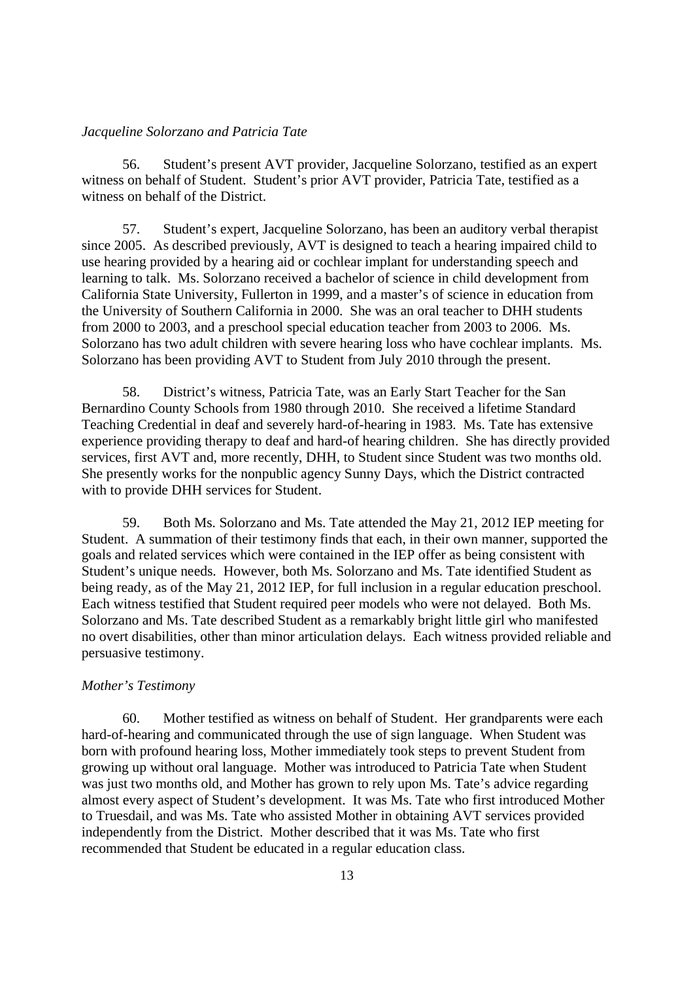### *Jacqueline Solorzano and Patricia Tate*

56. Student's present AVT provider, Jacqueline Solorzano, testified as an expert witness on behalf of Student. Student's prior AVT provider, Patricia Tate, testified as a witness on behalf of the District.

57. Student's expert, Jacqueline Solorzano, has been an auditory verbal therapist since 2005. As described previously, AVT is designed to teach a hearing impaired child to use hearing provided by a hearing aid or cochlear implant for understanding speech and learning to talk. Ms. Solorzano received a bachelor of science in child development from California State University, Fullerton in 1999, and a master's of science in education from the University of Southern California in 2000. She was an oral teacher to DHH students from 2000 to 2003, and a preschool special education teacher from 2003 to 2006. Ms. Solorzano has two adult children with severe hearing loss who have cochlear implants. Ms. Solorzano has been providing AVT to Student from July 2010 through the present.

58. District's witness, Patricia Tate, was an Early Start Teacher for the San Bernardino County Schools from 1980 through 2010. She received a lifetime Standard Teaching Credential in deaf and severely hard-of-hearing in 1983. Ms. Tate has extensive experience providing therapy to deaf and hard-of hearing children. She has directly provided services, first AVT and, more recently, DHH, to Student since Student was two months old. She presently works for the nonpublic agency Sunny Days, which the District contracted with to provide DHH services for Student.

59. Both Ms. Solorzano and Ms. Tate attended the May 21, 2012 IEP meeting for Student. A summation of their testimony finds that each, in their own manner, supported the goals and related services which were contained in the IEP offer as being consistent with Student's unique needs. However, both Ms. Solorzano and Ms. Tate identified Student as being ready, as of the May 21, 2012 IEP, for full inclusion in a regular education preschool. Each witness testified that Student required peer models who were not delayed. Both Ms. Solorzano and Ms. Tate described Student as a remarkably bright little girl who manifested no overt disabilities, other than minor articulation delays. Each witness provided reliable and persuasive testimony.

#### *Mother's Testimony*

60. Mother testified as witness on behalf of Student. Her grandparents were each hard-of-hearing and communicated through the use of sign language. When Student was born with profound hearing loss, Mother immediately took steps to prevent Student from growing up without oral language. Mother was introduced to Patricia Tate when Student was just two months old, and Mother has grown to rely upon Ms. Tate's advice regarding almost every aspect of Student's development. It was Ms. Tate who first introduced Mother to Truesdail, and was Ms. Tate who assisted Mother in obtaining AVT services provided independently from the District. Mother described that it was Ms. Tate who first recommended that Student be educated in a regular education class.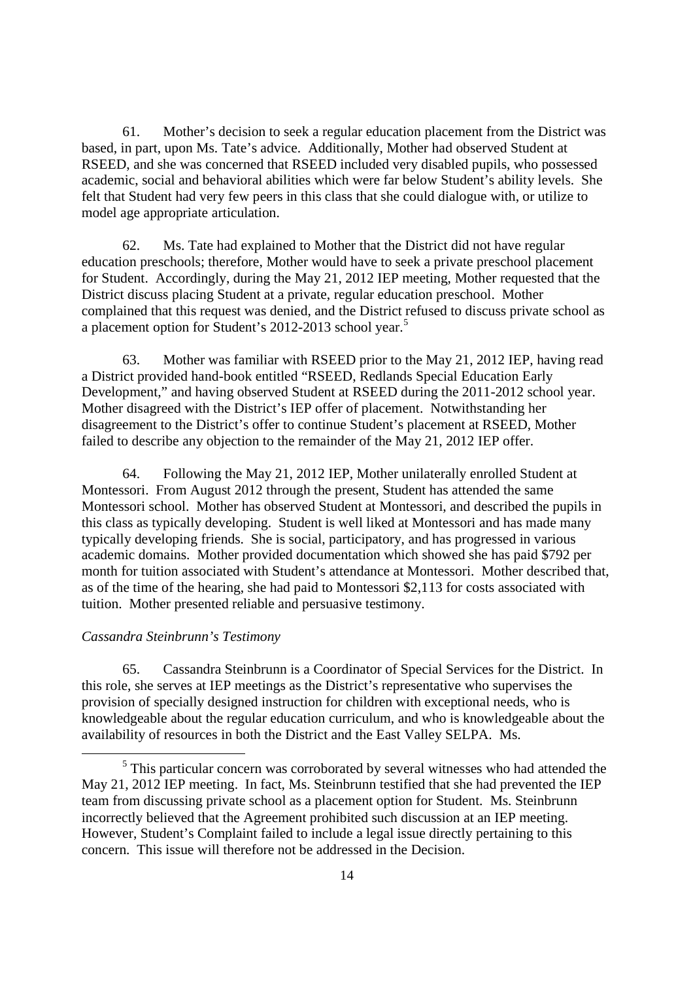61. Mother's decision to seek a regular education placement from the District was based, in part, upon Ms. Tate's advice. Additionally, Mother had observed Student at RSEED, and she was concerned that RSEED included very disabled pupils, who possessed academic, social and behavioral abilities which were far below Student's ability levels. She felt that Student had very few peers in this class that she could dialogue with, or utilize to model age appropriate articulation.

62. Ms. Tate had explained to Mother that the District did not have regular education preschools; therefore, Mother would have to seek a private preschool placement for Student. Accordingly, during the May 21, 2012 IEP meeting, Mother requested that the District discuss placing Student at a private, regular education preschool. Mother complained that this request was denied, and the District refused to discuss private school as a placement option for Student's 2012-2013 school year.<sup>5</sup>

63. Mother was familiar with RSEED prior to the May 21, 2012 IEP, having read a District provided hand-book entitled "RSEED, Redlands Special Education Early Development," and having observed Student at RSEED during the 2011-2012 school year. Mother disagreed with the District's IEP offer of placement. Notwithstanding her disagreement to the District's offer to continue Student's placement at RSEED, Mother failed to describe any objection to the remainder of the May 21, 2012 IEP offer.

64. Following the May 21, 2012 IEP, Mother unilaterally enrolled Student at Montessori. From August 2012 through the present, Student has attended the same Montessori school. Mother has observed Student at Montessori, and described the pupils in this class as typically developing. Student is well liked at Montessori and has made many typically developing friends. She is social, participatory, and has progressed in various academic domains. Mother provided documentation which showed she has paid \$792 per month for tuition associated with Student's attendance at Montessori. Mother described that, as of the time of the hearing, she had paid to Montessori \$2,113 for costs associated with tuition. Mother presented reliable and persuasive testimony.

### *Cassandra Steinbrunn's Testimony*

65. Cassandra Steinbrunn is a Coordinator of Special Services for the District. In this role, she serves at IEP meetings as the District's representative who supervises the provision of specially designed instruction for children with exceptional needs, who is knowledgeable about the regular education curriculum, and who is knowledgeable about the availability of resources in both the District and the East Valley SELPA. Ms.

<sup>5</sup> This particular concern was corroborated by several witnesses who had attended the May 21, 2012 IEP meeting. In fact, Ms. Steinbrunn testified that she had prevented the IEP team from discussing private school as a placement option for Student. Ms. Steinbrunn incorrectly believed that the Agreement prohibited such discussion at an IEP meeting. However, Student's Complaint failed to include a legal issue directly pertaining to this concern. This issue will therefore not be addressed in the Decision.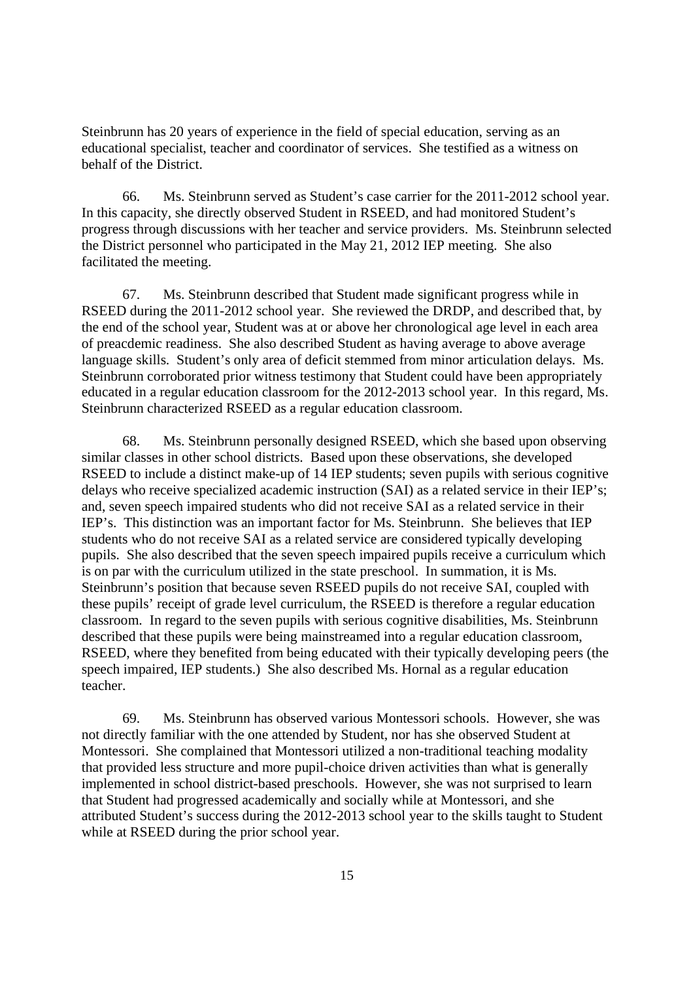Steinbrunn has 20 years of experience in the field of special education, serving as an educational specialist, teacher and coordinator of services. She testified as a witness on behalf of the District.

66. Ms. Steinbrunn served as Student's case carrier for the 2011-2012 school year. In this capacity, she directly observed Student in RSEED, and had monitored Student's progress through discussions with her teacher and service providers. Ms. Steinbrunn selected the District personnel who participated in the May 21, 2012 IEP meeting. She also facilitated the meeting.

67. Ms. Steinbrunn described that Student made significant progress while in RSEED during the 2011-2012 school year. She reviewed the DRDP, and described that, by the end of the school year, Student was at or above her chronological age level in each area of preacdemic readiness. She also described Student as having average to above average language skills. Student's only area of deficit stemmed from minor articulation delays. Ms. Steinbrunn corroborated prior witness testimony that Student could have been appropriately educated in a regular education classroom for the 2012-2013 school year. In this regard, Ms. Steinbrunn characterized RSEED as a regular education classroom.

68. Ms. Steinbrunn personally designed RSEED, which she based upon observing similar classes in other school districts. Based upon these observations, she developed RSEED to include a distinct make-up of 14 IEP students; seven pupils with serious cognitive delays who receive specialized academic instruction (SAI) as a related service in their IEP's; and, seven speech impaired students who did not receive SAI as a related service in their IEP's. This distinction was an important factor for Ms. Steinbrunn. She believes that IEP students who do not receive SAI as a related service are considered typically developing pupils. She also described that the seven speech impaired pupils receive a curriculum which is on par with the curriculum utilized in the state preschool. In summation, it is Ms. Steinbrunn's position that because seven RSEED pupils do not receive SAI, coupled with these pupils' receipt of grade level curriculum, the RSEED is therefore a regular education classroom. In regard to the seven pupils with serious cognitive disabilities, Ms. Steinbrunn described that these pupils were being mainstreamed into a regular education classroom, RSEED, where they benefited from being educated with their typically developing peers (the speech impaired, IEP students.) She also described Ms. Hornal as a regular education teacher.

69. Ms. Steinbrunn has observed various Montessori schools. However, she was not directly familiar with the one attended by Student, nor has she observed Student at Montessori. She complained that Montessori utilized a non-traditional teaching modality that provided less structure and more pupil-choice driven activities than what is generally implemented in school district-based preschools. However, she was not surprised to learn that Student had progressed academically and socially while at Montessori, and she attributed Student's success during the 2012-2013 school year to the skills taught to Student while at RSEED during the prior school year.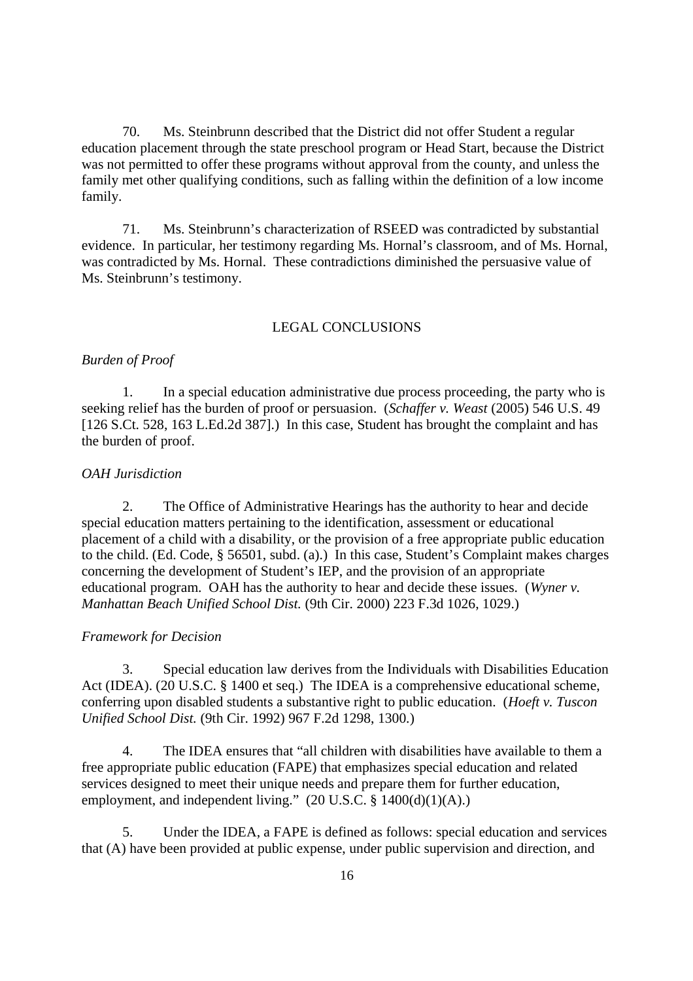70. Ms. Steinbrunn described that the District did not offer Student a regular education placement through the state preschool program or Head Start, because the District was not permitted to offer these programs without approval from the county, and unless the family met other qualifying conditions, such as falling within the definition of a low income family.

71. Ms. Steinbrunn's characterization of RSEED was contradicted by substantial evidence. In particular, her testimony regarding Ms. Hornal's classroom, and of Ms. Hornal, was contradicted by Ms. Hornal. These contradictions diminished the persuasive value of Ms. Steinbrunn's testimony.

### LEGAL CONCLUSIONS

#### *Burden of Proof*

1. In a special education administrative due process proceeding, the party who is seeking relief has the burden of proof or persuasion. (*Schaffer v. Weast* (2005) 546 U.S. 49 [126 S.Ct. 528, 163 L.Ed.2d 387].) In this case, Student has brought the complaint and has the burden of proof.

### *OAH Jurisdiction*

2. The Office of Administrative Hearings has the authority to hear and decide special education matters pertaining to the identification, assessment or educational placement of a child with a disability, or the provision of a free appropriate public education to the child. (Ed. Code, § 56501, subd. (a).) In this case, Student's Complaint makes charges concerning the development of Student's IEP, and the provision of an appropriate educational program. OAH has the authority to hear and decide these issues. (*Wyner v. Manhattan Beach Unified School Dist.* (9th Cir. 2000) 223 F.3d 1026, 1029.)

#### *Framework for Decision*

3. Special education law derives from the Individuals with Disabilities Education Act (IDEA). (20 U.S.C. § 1400 et seq.) The IDEA is a comprehensive educational scheme, conferring upon disabled students a substantive right to public education. (*Hoeft v. Tuscon Unified School Dist.* (9th Cir. 1992) 967 F.2d 1298, 1300.)

4. The IDEA ensures that "all children with disabilities have available to them a free appropriate public education (FAPE) that emphasizes special education and related services designed to meet their unique needs and prepare them for further education, employment, and independent living."  $(20 \text{ U.S.C.} \$ 1400(d)(1)(A))$ 

5. Under the IDEA, a FAPE is defined as follows: special education and services that (A) have been provided at public expense, under public supervision and direction, and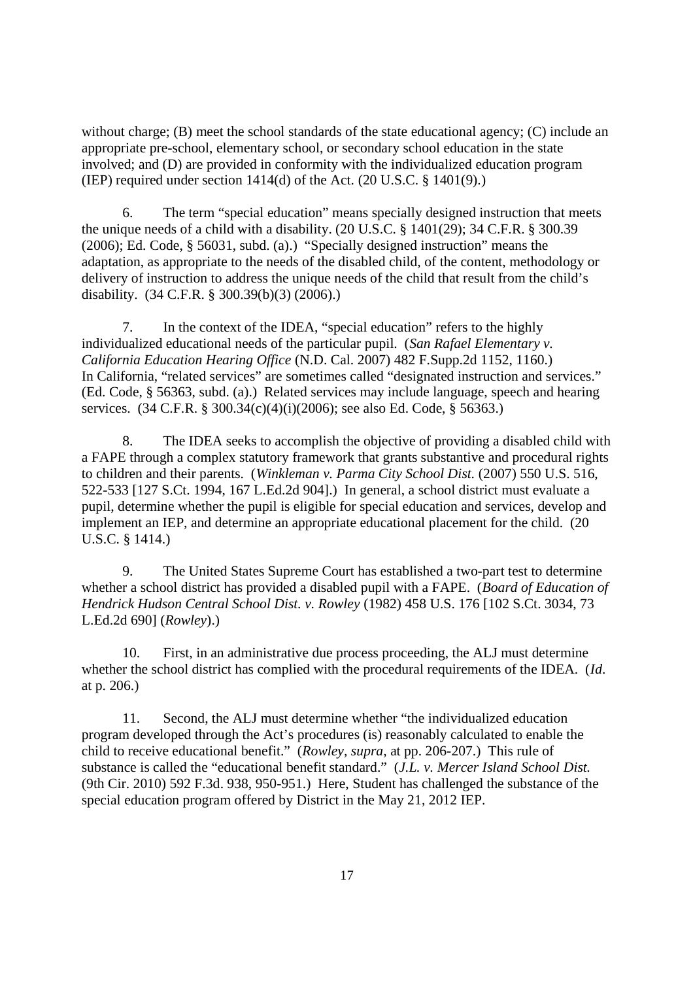without charge; (B) meet the school standards of the state educational agency; (C) include an appropriate pre-school, elementary school, or secondary school education in the state involved; and (D) are provided in conformity with the individualized education program (IEP) required under section 1414(d) of the Act. (20 U.S.C. § 1401(9).)

6. The term "special education" means specially designed instruction that meets the unique needs of a child with a disability. (20 U.S.C. § 1401(29); 34 C.F.R. § 300.39 (2006); Ed. Code, § 56031, subd. (a).) "Specially designed instruction" means the adaptation, as appropriate to the needs of the disabled child, of the content, methodology or delivery of instruction to address the unique needs of the child that result from the child's disability. (34 C.F.R. § 300.39(b)(3) (2006).)

7. In the context of the IDEA, "special education" refers to the highly individualized educational needs of the particular pupil. (*San Rafael Elementary v. California Education Hearing Office* (N.D. Cal. 2007) 482 F.Supp.2d 1152, 1160.) In California, "related services" are sometimes called "designated instruction and services." (Ed. Code, § 56363, subd. (a).) Related services may include language, speech and hearing services. (34 C.F.R. § 300.34(c)(4)(i)(2006); see also Ed. Code, § 56363.)

8. The IDEA seeks to accomplish the objective of providing a disabled child with a FAPE through a complex statutory framework that grants substantive and procedural rights to children and their parents. (*Winkleman v. Parma City School Dist.* (2007) 550 U.S. 516, 522-533 [127 S.Ct. 1994, 167 L.Ed.2d 904].) In general, a school district must evaluate a pupil, determine whether the pupil is eligible for special education and services, develop and implement an IEP, and determine an appropriate educational placement for the child. (20 U.S.C. § 1414.)

9. The United States Supreme Court has established a two-part test to determine whether a school district has provided a disabled pupil with a FAPE. (*Board of Education of Hendrick Hudson Central School Dist. v. Rowley* (1982) 458 U.S. 176 [102 S.Ct. 3034, 73 L.Ed.2d 690] (*Rowley*).)

10. First, in an administrative due process proceeding, the ALJ must determine whether the school district has complied with the procedural requirements of the IDEA. (*Id*. at p. 206.)

11. Second, the ALJ must determine whether "the individualized education program developed through the Act's procedures (is) reasonably calculated to enable the child to receive educational benefit." (*Rowley, supra*, at pp. 206-207.) This rule of substance is called the "educational benefit standard." (*J.L. v. Mercer Island School Dist.* (9th Cir. 2010) 592 F.3d. 938, 950-951.) Here, Student has challenged the substance of the special education program offered by District in the May 21, 2012 IEP.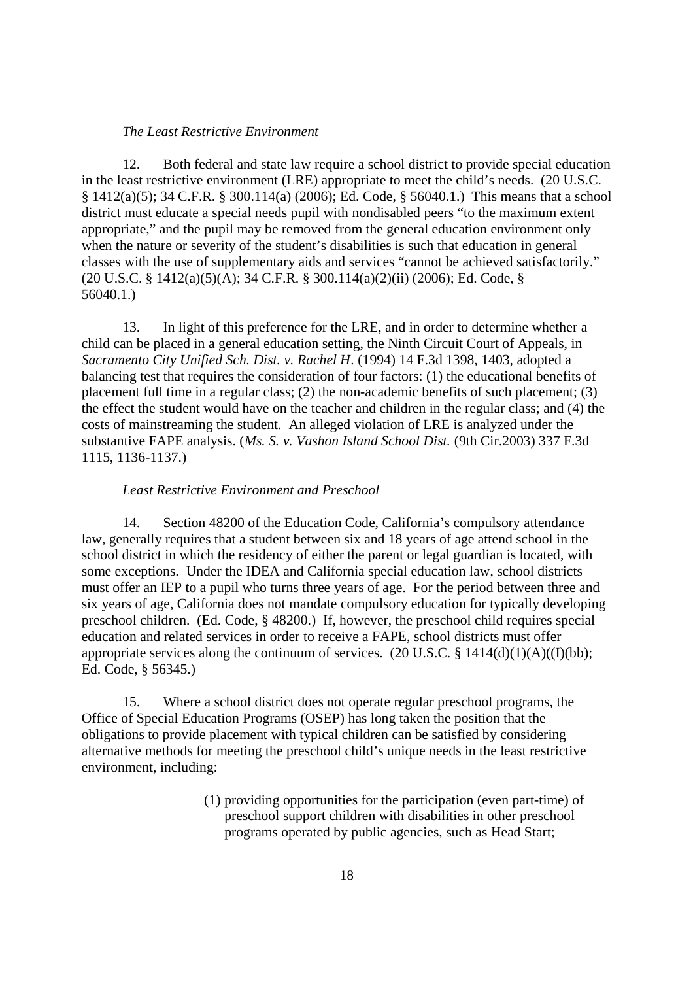#### *The Least Restrictive Environment*

12. Both federal and state law require a school district to provide special education in the least restrictive environment (LRE) appropriate to meet the child's needs. (20 U.S.C. § 1412(a)(5); 34 C.F.R. § 300.114(a) (2006); Ed. Code, § 56040.1.) This means that a school district must educate a special needs pupil with nondisabled peers "to the maximum extent appropriate," and the pupil may be removed from the general education environment only when the nature or severity of the student's disabilities is such that education in general classes with the use of supplementary aids and services "cannot be achieved satisfactorily." (20 U.S.C. § 1412(a)(5)(A); 34 C.F.R. § 300.114(a)(2)(ii) (2006); Ed. Code, § 56040.1.)

13. In light of this preference for the LRE, and in order to determine whether a child can be placed in a general education setting, the Ninth Circuit Court of Appeals, in *Sacramento City Unified Sch. Dist. v. Rachel H*. (1994) 14 F.3d 1398, 1403, adopted a balancing test that requires the consideration of four factors: (1) the educational benefits of placement full time in a regular class; (2) the non-academic benefits of such placement; (3) the effect the student would have on the teacher and children in the regular class; and (4) the costs of mainstreaming the student. An alleged violation of LRE is analyzed under the substantive FAPE analysis. (*Ms. S. v. Vashon Island School Dist.* (9th Cir.2003) 337 F.3d 1115, 1136-1137.)

#### *Least Restrictive Environment and Preschool*

14. Section 48200 of the Education Code, California's compulsory attendance law, generally requires that a student between six and 18 years of age attend school in the school district in which the residency of either the parent or legal guardian is located, with some exceptions. Under the IDEA and California special education law, school districts must offer an IEP to a pupil who turns three years of age. For the period between three and six years of age, California does not mandate compulsory education for typically developing preschool children. (Ed. Code, § 48200.) If, however, the preschool child requires special education and related services in order to receive a FAPE, school districts must offer appropriate services along the continuum of services. (20 U.S.C. § 1414(d)(1)(A)((I)(bb); Ed. Code, § 56345.)

15. Where a school district does not operate regular preschool programs, the Office of Special Education Programs (OSEP) has long taken the position that the obligations to provide placement with typical children can be satisfied by considering alternative methods for meeting the preschool child's unique needs in the least restrictive environment, including:

> (1) providing opportunities for the participation (even part-time) of preschool support children with disabilities in other preschool programs operated by public agencies, such as Head Start;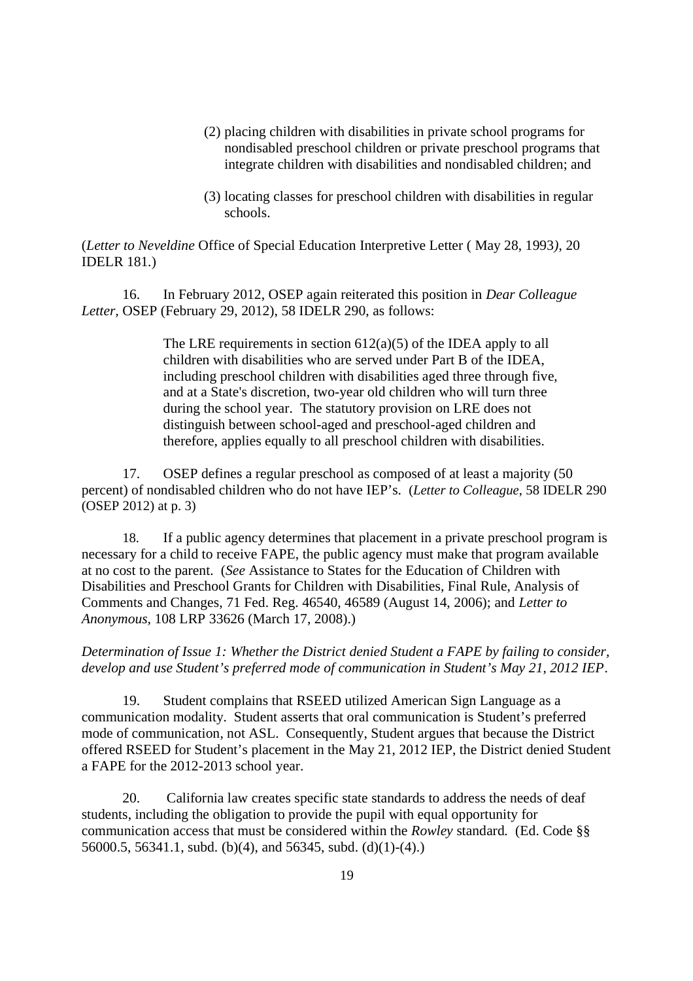- (2) placing children with disabilities in private school programs for nondisabled preschool children or private preschool programs that integrate children with disabilities and nondisabled children; and
- (3) locating classes for preschool children with disabilities in regular schools.

(*Letter to Neveldine* Office of Special Education Interpretive Letter ( May 28, 1993*)*, 20 IDELR 181*.*)

16. In February 2012, OSEP again reiterated this position in *Dear Colleague Letter,* OSEP (February 29, 2012), 58 IDELR 290, as follows:

> The LRE requirements in section 612(a)(5) of the IDEA apply to all children with disabilities who are served under Part B of the IDEA, including preschool children with disabilities aged three through five, and at a State's discretion, two-year old children who will turn three during the school year. The statutory provision on LRE does not distinguish between school-aged and preschool-aged children and therefore, applies equally to all preschool children with disabilities.

17. OSEP defines a regular preschool as composed of at least a majority (50 percent) of nondisabled children who do not have IEP's. (*Letter to Colleague*, 58 IDELR 290 (OSEP 2012) at p. 3)

18. If a public agency determines that placement in a private preschool program is necessary for a child to receive FAPE, the public agency must make that program available at no cost to the parent. (*See* Assistance to States for the Education of Children with Disabilities and Preschool Grants for Children with Disabilities, Final Rule, Analysis of Comments and Changes, 71 Fed. Reg. 46540, 46589 (August 14, 2006); and *Letter to Anonymous,* 108 LRP 33626 (March 17, 2008).)

*Determination of Issue 1: Whether the District denied Student a FAPE by failing to consider, develop and use Student's preferred mode of communication in Student's May 21, 2012 IEP*.

19. Student complains that RSEED utilized American Sign Language as a communication modality. Student asserts that oral communication is Student's preferred mode of communication, not ASL. Consequently, Student argues that because the District offered RSEED for Student's placement in the May 21, 2012 IEP, the District denied Student a FAPE for the 2012-2013 school year.

20. California law creates specific state standards to address the needs of deaf students, including the obligation to provide the pupil with equal opportunity for communication access that must be considered within the *Rowley* standard*.* (Ed. Code §§ 56000.5, 56341.1, subd. (b)(4), and 56345, subd. (d)(1)-(4).)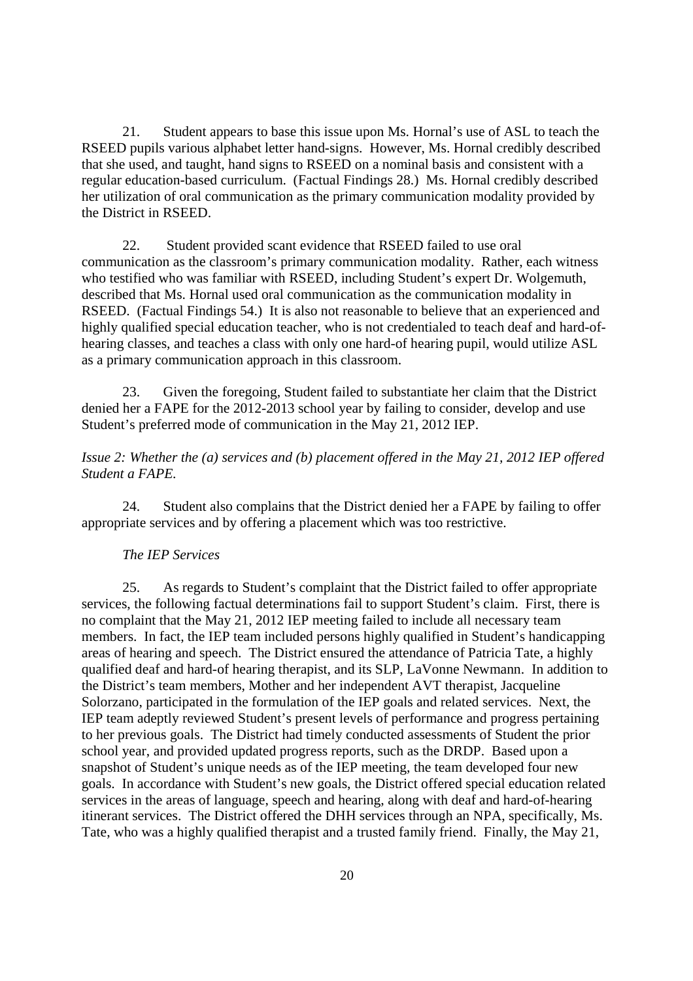21. Student appears to base this issue upon Ms. Hornal's use of ASL to teach the RSEED pupils various alphabet letter hand-signs. However, Ms. Hornal credibly described that she used, and taught, hand signs to RSEED on a nominal basis and consistent with a regular education-based curriculum. (Factual Findings 28.) Ms. Hornal credibly described her utilization of oral communication as the primary communication modality provided by the District in RSEED.

22. Student provided scant evidence that RSEED failed to use oral communication as the classroom's primary communication modality. Rather, each witness who testified who was familiar with RSEED, including Student's expert Dr. Wolgemuth, described that Ms. Hornal used oral communication as the communication modality in RSEED. (Factual Findings 54.) It is also not reasonable to believe that an experienced and highly qualified special education teacher, who is not credentialed to teach deaf and hard-ofhearing classes, and teaches a class with only one hard-of hearing pupil, would utilize ASL as a primary communication approach in this classroom.

23. Given the foregoing, Student failed to substantiate her claim that the District denied her a FAPE for the 2012-2013 school year by failing to consider, develop and use Student's preferred mode of communication in the May 21, 2012 IEP.

# *Issue 2: Whether the (a) services and (b) placement offered in the May 21, 2012 IEP offered Student a FAPE.*

24. Student also complains that the District denied her a FAPE by failing to offer appropriate services and by offering a placement which was too restrictive.

# *The IEP Services*

25. As regards to Student's complaint that the District failed to offer appropriate services, the following factual determinations fail to support Student's claim. First, there is no complaint that the May 21, 2012 IEP meeting failed to include all necessary team members. In fact, the IEP team included persons highly qualified in Student's handicapping areas of hearing and speech. The District ensured the attendance of Patricia Tate, a highly qualified deaf and hard-of hearing therapist, and its SLP, LaVonne Newmann. In addition to the District's team members, Mother and her independent AVT therapist, Jacqueline Solorzano, participated in the formulation of the IEP goals and related services. Next, the IEP team adeptly reviewed Student's present levels of performance and progress pertaining to her previous goals. The District had timely conducted assessments of Student the prior school year, and provided updated progress reports, such as the DRDP. Based upon a snapshot of Student's unique needs as of the IEP meeting, the team developed four new goals. In accordance with Student's new goals, the District offered special education related services in the areas of language, speech and hearing, along with deaf and hard-of-hearing itinerant services. The District offered the DHH services through an NPA, specifically, Ms. Tate, who was a highly qualified therapist and a trusted family friend. Finally, the May 21,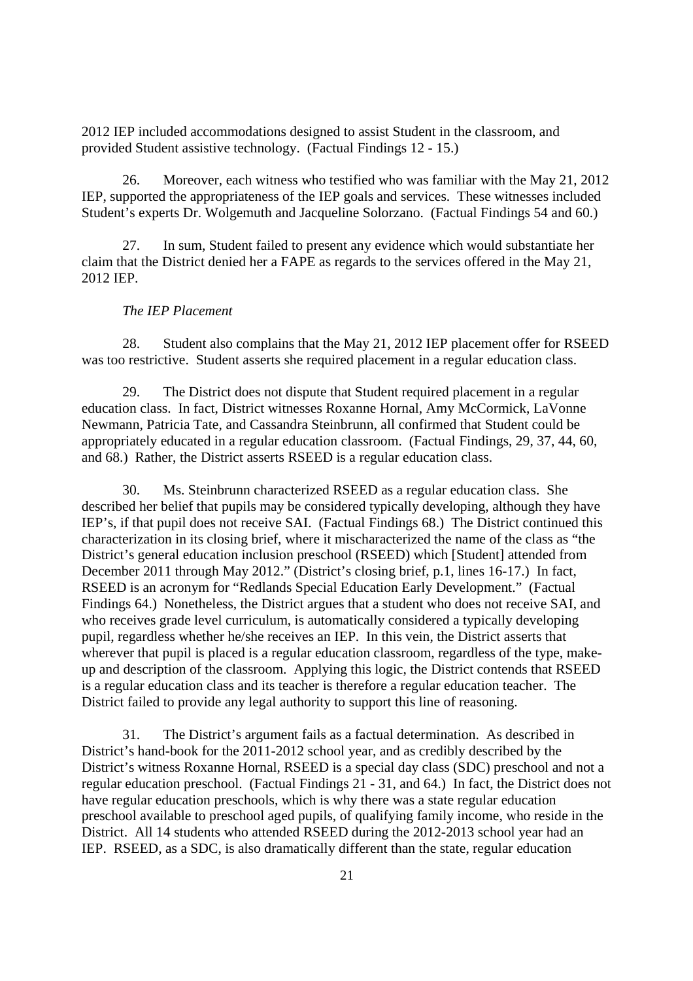2012 IEP included accommodations designed to assist Student in the classroom, and provided Student assistive technology. (Factual Findings 12 - 15.)

26. Moreover, each witness who testified who was familiar with the May 21, 2012 IEP, supported the appropriateness of the IEP goals and services. These witnesses included Student's experts Dr. Wolgemuth and Jacqueline Solorzano. (Factual Findings 54 and 60.)

27. In sum, Student failed to present any evidence which would substantiate her claim that the District denied her a FAPE as regards to the services offered in the May 21, 2012 IEP.

### *The IEP Placement*

28. Student also complains that the May 21, 2012 IEP placement offer for RSEED was too restrictive. Student asserts she required placement in a regular education class.

29. The District does not dispute that Student required placement in a regular education class. In fact, District witnesses Roxanne Hornal, Amy McCormick, LaVonne Newmann, Patricia Tate, and Cassandra Steinbrunn, all confirmed that Student could be appropriately educated in a regular education classroom. (Factual Findings, 29, 37, 44, 60, and 68.) Rather, the District asserts RSEED is a regular education class.

30. Ms. Steinbrunn characterized RSEED as a regular education class. She described her belief that pupils may be considered typically developing, although they have IEP's, if that pupil does not receive SAI. (Factual Findings 68.) The District continued this characterization in its closing brief, where it mischaracterized the name of the class as "the District's general education inclusion preschool (RSEED) which [Student] attended from December 2011 through May 2012." (District's closing brief, p.1, lines 16-17.) In fact, RSEED is an acronym for "Redlands Special Education Early Development." (Factual Findings 64.) Nonetheless, the District argues that a student who does not receive SAI, and who receives grade level curriculum, is automatically considered a typically developing pupil, regardless whether he/she receives an IEP. In this vein, the District asserts that wherever that pupil is placed is a regular education classroom, regardless of the type, makeup and description of the classroom. Applying this logic, the District contends that RSEED is a regular education class and its teacher is therefore a regular education teacher. The District failed to provide any legal authority to support this line of reasoning.

31. The District's argument fails as a factual determination. As described in District's hand-book for the 2011-2012 school year, and as credibly described by the District's witness Roxanne Hornal, RSEED is a special day class (SDC) preschool and not a regular education preschool. (Factual Findings 21 - 31, and 64.) In fact, the District does not have regular education preschools, which is why there was a state regular education preschool available to preschool aged pupils, of qualifying family income, who reside in the District. All 14 students who attended RSEED during the 2012-2013 school year had an IEP. RSEED, as a SDC, is also dramatically different than the state, regular education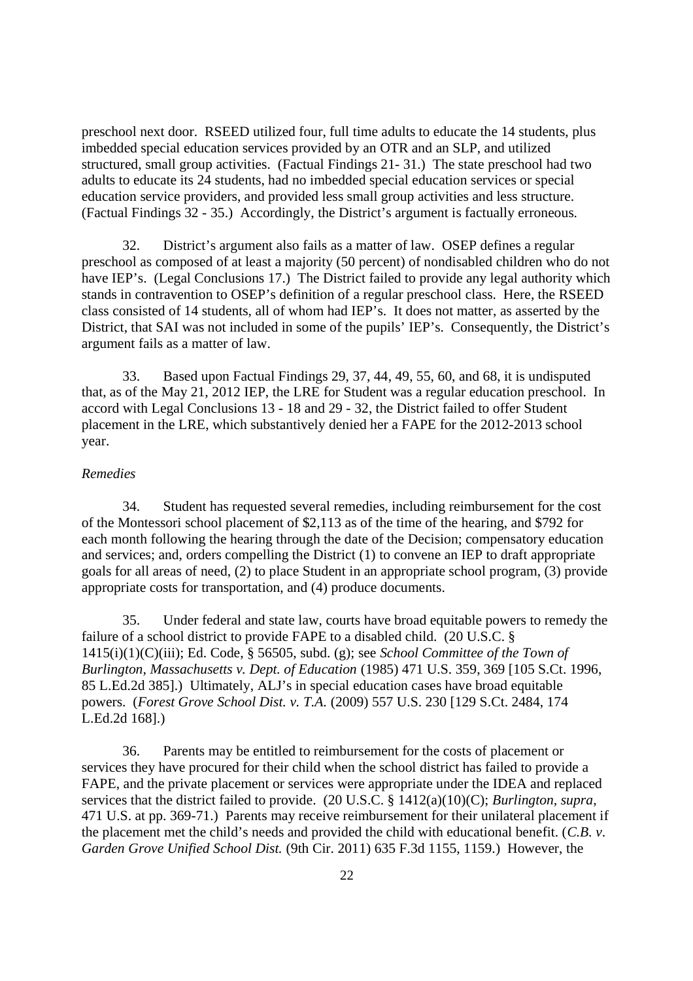preschool next door. RSEED utilized four, full time adults to educate the 14 students, plus imbedded special education services provided by an OTR and an SLP, and utilized structured, small group activities. (Factual Findings 21- 31.) The state preschool had two adults to educate its 24 students, had no imbedded special education services or special education service providers, and provided less small group activities and less structure. (Factual Findings 32 - 35.) Accordingly, the District's argument is factually erroneous.

32. District's argument also fails as a matter of law. OSEP defines a regular preschool as composed of at least a majority (50 percent) of nondisabled children who do not have IEP's. (Legal Conclusions 17.) The District failed to provide any legal authority which stands in contravention to OSEP's definition of a regular preschool class. Here, the RSEED class consisted of 14 students, all of whom had IEP's. It does not matter, as asserted by the District, that SAI was not included in some of the pupils' IEP's. Consequently, the District's argument fails as a matter of law.

33. Based upon Factual Findings 29, 37, 44, 49, 55, 60, and 68, it is undisputed that, as of the May 21, 2012 IEP, the LRE for Student was a regular education preschool. In accord with Legal Conclusions 13 - 18 and 29 - 32, the District failed to offer Student placement in the LRE, which substantively denied her a FAPE for the 2012-2013 school year.

### *Remedies*

34. Student has requested several remedies, including reimbursement for the cost of the Montessori school placement of \$2,113 as of the time of the hearing, and \$792 for each month following the hearing through the date of the Decision; compensatory education and services; and, orders compelling the District (1) to convene an IEP to draft appropriate goals for all areas of need, (2) to place Student in an appropriate school program, (3) provide appropriate costs for transportation, and (4) produce documents.

35. Under federal and state law, courts have broad equitable powers to remedy the failure of a school district to provide FAPE to a disabled child. (20 U.S.C. § 1415(i)(1)(C)(iii); Ed. Code, § 56505, subd. (g); see *School Committee of the Town of Burlington, Massachusetts v. Dept. of Education* (1985) 471 U.S. 359, 369 [105 S.Ct. 1996, 85 L.Ed.2d 385].) Ultimately, ALJ's in special education cases have broad equitable powers. (*Forest Grove School Dist. v. T.A.* (2009) 557 U.S. 230 [129 S.Ct. 2484, 174 L.Ed.2d 168].)

36. Parents may be entitled to reimbursement for the costs of placement or services they have procured for their child when the school district has failed to provide a FAPE, and the private placement or services were appropriate under the IDEA and replaced services that the district failed to provide. (20 U.S.C. § 1412(a)(10)(C); *Burlington, supra*, 471 U.S. at pp. 369-71.) Parents may receive reimbursement for their unilateral placement if the placement met the child's needs and provided the child with educational benefit. (*C.B. v*. *Garden Grove Unified School Dist.* (9th Cir. 2011) 635 F.3d 1155, 1159.) However, the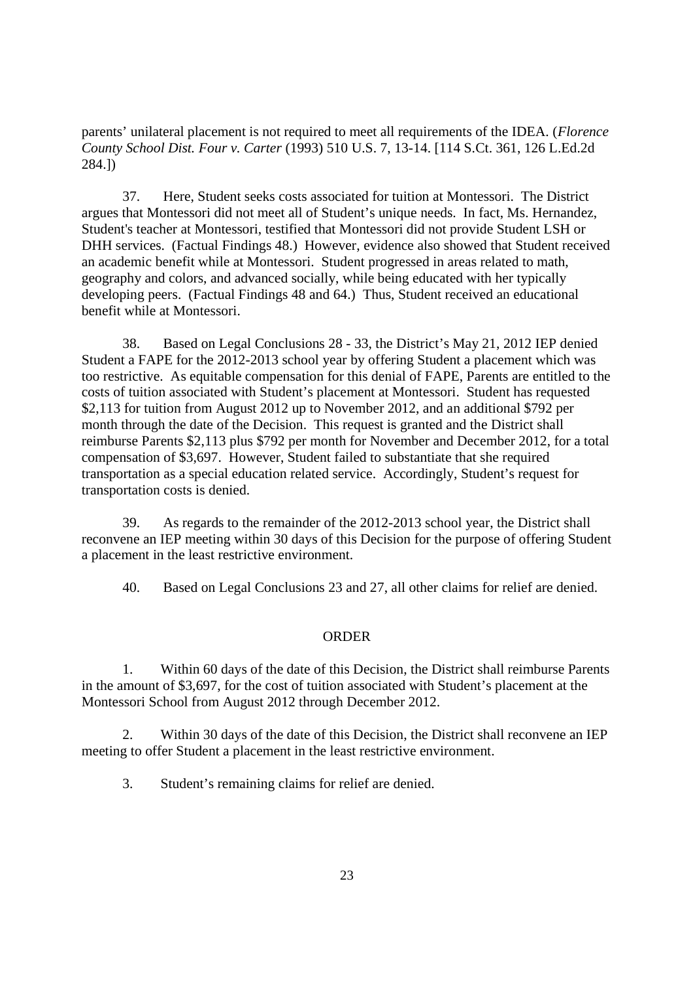parents' unilateral placement is not required to meet all requirements of the IDEA. (*Florence County School Dist. Four v. Carter* (1993) 510 U.S. 7, 13-14. [114 S.Ct. 361, 126 L.Ed.2d 284.])

37. Here, Student seeks costs associated for tuition at Montessori. The District argues that Montessori did not meet all of Student's unique needs. In fact, Ms. Hernandez, Student's teacher at Montessori, testified that Montessori did not provide Student LSH or DHH services. (Factual Findings 48.) However, evidence also showed that Student received an academic benefit while at Montessori. Student progressed in areas related to math, geography and colors, and advanced socially, while being educated with her typically developing peers. (Factual Findings 48 and 64.) Thus, Student received an educational benefit while at Montessori.

38. Based on Legal Conclusions 28 - 33, the District's May 21, 2012 IEP denied Student a FAPE for the 2012-2013 school year by offering Student a placement which was too restrictive. As equitable compensation for this denial of FAPE, Parents are entitled to the costs of tuition associated with Student's placement at Montessori. Student has requested \$2,113 for tuition from August 2012 up to November 2012, and an additional \$792 per month through the date of the Decision. This request is granted and the District shall reimburse Parents \$2,113 plus \$792 per month for November and December 2012, for a total compensation of \$3,697. However, Student failed to substantiate that she required transportation as a special education related service. Accordingly, Student's request for transportation costs is denied.

39. As regards to the remainder of the 2012-2013 school year, the District shall reconvene an IEP meeting within 30 days of this Decision for the purpose of offering Student a placement in the least restrictive environment.

40. Based on Legal Conclusions 23 and 27, all other claims for relief are denied.

## ORDER

1. Within 60 days of the date of this Decision, the District shall reimburse Parents in the amount of \$3,697, for the cost of tuition associated with Student's placement at the Montessori School from August 2012 through December 2012.

2. Within 30 days of the date of this Decision, the District shall reconvene an IEP meeting to offer Student a placement in the least restrictive environment.

3. Student's remaining claims for relief are denied.